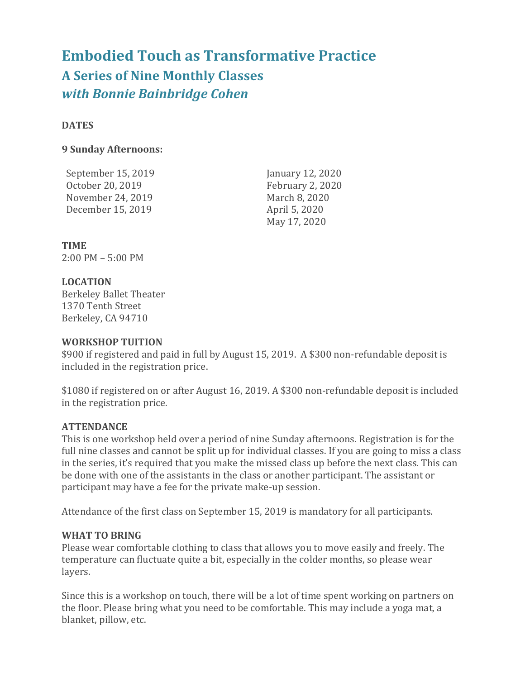# **Embodied Touch as Transformative Practice A Series of Nine Monthly Classes** *with Bonnie Bainbridge Cohen*

#### **DATES**

### **9 Sunday Afternoons:**

September 15, 2019 **January 12, 2020** October 20, 2019 February 2, 2020 November 24, 2019 March 8, 2020 December 15, 2019 April 5, 2020

May 17, 2020

**TIME** 2:00 PM – 5:00 PM

## **LOCATION**

Berkeley Ballet Theater 1370 Tenth Street Berkeley, CA 94710

#### **WORKSHOP TUITION**

\$900 if registered and paid in full by August 15, 2019. A \$300 non-refundable deposit is included in the registration price.

\$1080 if registered on or after August 16, 2019. A \$300 non-refundable deposit is included in the registration price.

## **ATTENDANCE**

This is one workshop held over a period of nine Sunday afternoons. Registration is for the full nine classes and cannot be split up for individual classes. If you are going to miss a class in the series, it's required that you make the missed class up before the next class. This can be done with one of the assistants in the class or another participant. The assistant or participant may have a fee for the private make-up session.

Attendance of the first class on September 15, 2019 is mandatory for all participants.

#### **WHAT TO BRING**

Please wear comfortable clothing to class that allows you to move easily and freely. The temperature can fluctuate quite a bit, especially in the colder months, so please wear layers.

Since this is a workshop on touch, there will be a lot of time spent working on partners on the floor. Please bring what you need to be comfortable. This may include a yoga mat, a blanket, pillow, etc.